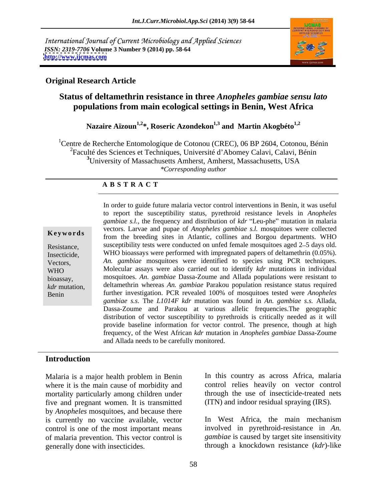International Journal of Current Microbiology and Applied Sciences *ISSN: 2319-7706* **Volume 3 Number 9 (2014) pp. 58-64 <http://www.ijcmas.com>**



## **Original Research Article**

# **Status of deltamethrin resistance in three** *Anopheles gambiae sensu lato* **populations from main ecological settings in Benin, West Africa**

Nazaire Aïzoun<sup>1,2\*</sup>, Roseric Azondekon<sup>1,3</sup> and Martin Akogbéto<sup>1,2</sup>

<sup>1</sup>Centre de Recherche Entomologique de Cotonou (CREC), 06 BP 2604, Cotonou, Bénin <sup>2</sup>Faculté des Sciences et Techniques, Université d'Abomey Calavi, Calavi, Bénin **<sup>3</sup>**University of Massachusetts Amherst, Amherst, Massachusetts, USA *\*Corresponding author* 

## **A B S T R A C T**

**Keywords** constrained the breeding sites in Atlantic, collines and Borgou departments. WHO Resistance, susceptibility tests were conducted on unfed female mosquitoes aged 2–5 days old.<br>Insecticide, WHO bioassays were performed with impregnated papers of deltamethrin (0.05%). Vectors, *An. gambiae* mosquitoes were identified to species using PCR techniques. WHO Molecular assays were also carried out to identify *kdr* mutations in individual bioassay, mosquitoes. *An. gambiae* Dassa-Zoume and Allada populations were resistant to *kdr* mutation, deltamethrin whereas *An. gambiae* Parakou population resistance status required Benin further investigation. PCR revealed 100% of mosquitoes tested were *Anopheles*  In order to guide future malaria vector control interventions in Benin, it was useful to report the susceptibility status, pyrethroid resistance levels in *Anopheles gambiae s.l.*, the frequency and distribution of *kdr* "Leu-phe" mutation in malaria vectors. Larvae and pupae of *Anopheles gambiae s.l.* mosquitoes were collected susceptibility tests were conducted on unfed female mosquitoes aged 2–5 days old. *gambiae s.s*. The *L1014F kdr* mutation was found in *An. gambiae s.s.* Allada, Dassa-Zoume and Parakou at various allelic frequencies.The geographic distribution of vector susceptibility to pyrethroids is critically needed as it will provide baseline information for vector control. The presence, though at high frequency, of the West African *kdr* mutation in *Anopheles gambiae* Dassa-Zoume and Allada needs to be carefully monitored.

## **Introduction**

Malaria is a major health problem in Benin In this country as across Africa, malaria where it is the main cause of morbidity and mortality particularly among children under five and pregnant women. It is transmitted by *Anopheles* mosquitoes, and because there is currently no vaccine available, vector control is one of the most important means of malaria prevention. This vector control is Malaria is a major health problem in Benin In this country as across Africa, malaria<br>where it is the main cause of morbidity and control relies heavily on vector control<br>mortality particularly among children under through

control relies heavily on vector control through the use of insecticide-treated nets (ITN) and indoor residual spraying (IRS).

In West Africa, the main mechanism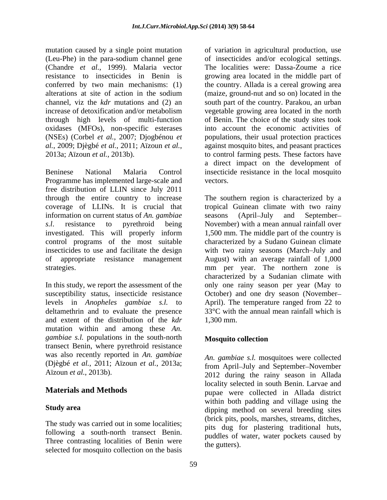mutation caused by a single point mutation (Chandre *et al.*, 1999). Malaria vector through high levels of multi-function oxidases (MFOs), non-specific esterases

Beninese National Malaria Control insecticide resistance in the local mosquito Programme has implemented large-scale and free distribution of LLIN since July 2011 through the entire country to increase The southern region is characterized by a coverage of LLINs. It is crucial that tropical Guinean climate with two rainy information on current status of *An. gambiae s.l*. resistance to pyrethroid being November) with a mean annual rainfall over investigated. This will properly inform control programs of the most suitable insecticides to use and facilitate the design with two rainy seasons (March July and of appropriate resistance management August) with an average rainfall of 1,000 strategies. mm per year. The northern zone is

In this study, we report the assessment of the and extent of the distribution of the  $kdr = 1.300$  mm. mutation within and among these *An. gambiae s.l.* populations in the south-north transect Benin, where pyrethroid resistance was also recently reported in *An. gambiae* (Djègbé *et al.*, 2011; Aïzoun *et al.*, 2013a;

The study was carried out in some localities; following a south-north transect Benin. Three contrasting localities of Benin were selected for mosquito collection on the basis

(Leu-Phe) in the para-sodium channel gene of insecticides and/or ecological settings. resistance to insecticides in Benin is growing area located in the middle part of conferred by two main mechanisms: (1) the country. Allada is a cereal growing area alterations at site of action in the sodium (maize, ground-nut and so on) located in the channel, viz the *kdr* mutations and (2) an south part of the country. Parakou, an urban increase of detoxification and/or metabolism vegetable growing area located in the north (NSEs) (Corbel *et al.*, 2007; Djogbénou *et*  populations, their usual protection practices *al.*, 2009; Djègbé *et al.*, 2011; Aïzoun *et al.*, 2013a; Aïzoun *et al.*, 2013b). of variation in agricultural production, use The localities were: Dassa-Zoume a rice of Benin. The choice of the study sites took into account the economic activities of against mosquito bites, and peasant practices to control farming pests. These factors have a direct impact on the development of

susceptibility status, insecticide resistance October) and one dry season (November levels in *Anopheles gambiae s.l.* to April). The temperature ranged from 22 to deltamethrin and to evaluate the presence 33°C with the annual mean rainfall which is vectors.<br>The southern region is characterized by a seasons (April–July and September– 1,500 mm. The middle part of the country is characterized by a Sudano Guinean climate characterized by a Sudanian climate with only one rainy season per year (May to 1,300 mm.

# **Mosquito collection**

Aïzoun *et al.*, 2013b). 2012 during the rainy season in Allada **Materials and Methods** pupae were collected in Allada district Study area **and a study area** dipping method on several breeding sites *An. gambiae s.l.* mosquitoes were collected from April–July and September–November locality selected in south Benin. Larvae and within both padding and village using the (brick pits, pools, marshes, streams, ditches, pits dug for plastering traditional huts, puddles of water, water pockets caused by the gutters).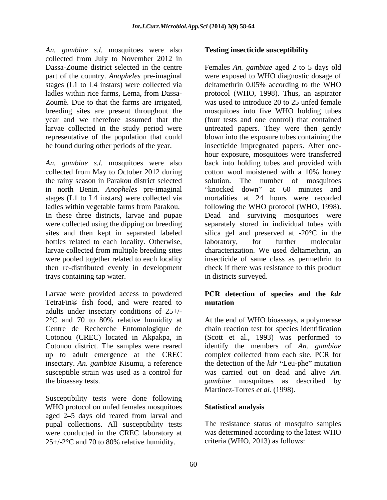*An. gambiae s.l.* mosquitoes were also collected from July to November 2012 in year and we therefore assumed that the larvae collected in the study period were

*An. gambiae s.l.* mosquitoes were also the rainy season in Parakou district selected in north Benin. *Anopheles* pre-imaginal stages (L1 to L4 instars) were collected via ladles within vegetable farms from Parakou. Following the WHO protocol (WHO, 1998). In these three districts, larvae and pupae Dead and surviving mosquitoes were bottles related to each locality. Otherwise, laboratory, for further molecular were pooled together related to each locality trays containing tap water.

Larvae were provided access to powdered **PCR detection of species and the** *kdr* TetraFin® fish food, and were reared to adults under insectary conditions of  $25+/2$ °C and 70 to 80% relative humidity at  $2^{\circ}$ C and 70 to 80% relative humidity at At the end of WHO bioassays, a polymerase Centre de Recherche Entomologique de chain reaction test for species identification Cotonou (CREC) located in Akpakpa, in (Scott et al., 1993) was performed to Cotonou district. The samples were reared identify the members of *An. gambiae* up to adult emergence at the CREC complex collected from each site. PCR for insectary. An. gambiae Kisumu, a reference the detection of the *kdr* "Leu-phe" mutation susceptible strain was used as a control for was carried out on dead and alive *An*.

Susceptibility tests were done following WHO protocol on unfed females mosquitoes Statistical analysis aged 2–5 days old reared from larval and pupal collections. All susceptibility tests The resistance status of mosquito samples were conducted in the CREC laboratory at 25+/-2°C and 70 to 80% relative humidity.

## **Testing insecticide susceptibility**

Dassa-Zoume district selected in the centre Females *An. gambiae* aged 2 to 5 days old part of the country. *Anopheles* pre-imaginal were exposed to WHO diagnostic dosage of stages (L1 to L4 instars) were collected via deltamethrin 0.05% according to the WHO ladles within rice farms, Lema, from Dassa- protocol (WHO, 1998). Thus, an aspirator Zoumè. Due to that the farms are irrigated, was used to introduce 20 to 25 unfed female breeding sites are present throughout the mosquitoes into five WHO holding tubes representative of the population that could blown into the exposure tubes containing the be found during other periods of the year. insecticide impregnated papers. After one collected from May to October 2012 during cotton wool moistened with a 10% honey were collected using the dipping on breeding separately stored in individual tubes with sites and then kept in separated labeled silica gel and preserved at -20°C in the larvae collected from multiple breeding sites characterization. We used deltamethrin, an then re-distributed evenly in development check if there was resistance to this product (four tests and one control) that contained untreated papers. They were then gently hour exposure, mosquitoes were transferred back into holding tubes and provided with The number of mosquitoes knocked down" at 60 minutes and mortalities at 24 hours were recorded following the WHO protocol (WHO, 1998).<br>Dead and surviving mosquitoes were laboratory, for further molecular insecticide of same class as permethrin to in districts surveyed.

# **mutation**

the bioassay tests. *gambiae* mosquitoes as described by Martinez-Torres et al. (1998).

## **Statistical analysis**

was determined according to the latest WHO criteria (WHO, 2013) as follows: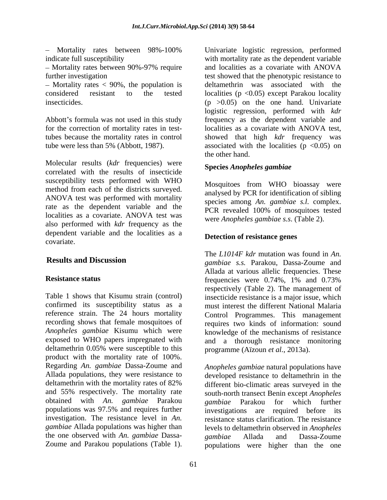- Mortality rates between 98%-100% Univariate logistic regression, performed

correlated with the results of insecticide susceptibility tests performed with WHO method from each of the districts surveyed. ANOVA test was performed with mortality rate as the dependent variable and the PCR revealed 100% of mosquitoes tested localities as a covariate. ANOVA test was  $\frac{1}{\sqrt{2}}$  were Apphales gambias s s (Table 2) also performed with *kdr* frequency as the dependent variable and the localities as a covariate.

Table 1 shows that Kisumu strain (control) insecticide resistance is a major issue, which confirmed its susceptibility status as a must interest the different National Malaria reference strain. The 24 hours mortality Control Programmes. This management recording shows that female mosquitoes of requires two kinds of information: sound *Anopheles gambiae* Kisumu which were knowledge of the mechanisms of resistance exposed to WHO papers impregnated with and a thorough resistance monitoring deltamethrin 0.05% were susceptible to this product with the mortality rate of 100%. Regarding *An. gambiae* Dassa-Zoume and *Anopheles gambiae* natural populations have and 55% respectively. The mortality rate obtained with *An. gambiae* Parakou the one observed with *An. gambiae* Dassa- Notice between 99%-100% with the state is giving the regression, performed the between the state is a constrained to the model with the model and the state constrained with AOVA (Tube interactions (Table 1). University an

indicate full susceptibility with mortality rate as the dependent variable Mortality rates between 90%-97% require further investigation test showed that the phenotypic resistance to Mortality rates < 90%, the population is deltamethrin was associated with the considered resistant to the tested localities (p <0.05) except Parakou locality insecticides. (p >0.05) on the one hand. Univariate Abbott's formula was not used in this study frequency as the dependent variable and for the correction of mortality rates in test-localities as a covariate with ANOVA test, tubes because the mortality rates in control showed that high *kdr* frequency was tube were less than 5% (Abbott, 1987). associated with the localities ( $p < 0.05$ ) on<br>the other hand.<br>Molecular results (*kdr* frequencies) were<br>**Species Arenheles cambiae** and localities as a covariate with ANOVA logistic regression, performed with *kdr*  associated with the localities ( $p \lt 0.05$ ) on the other hand.

## **Species** *Anopheles gambiae*

Mosquitoes from WHO bioassay were analysed by PCR for identification of sibling species among *An. gambiae s.l*. complex. PCR revealed 100% of mosquitoes tested were *Anopheles gambiae s.s*. (Table 2).

## **Detection of resistance genes**

**Results and Discussion** *gambiae s.s.* Parakou, Dassa-Zoume and **Resistance status** frequencies were 0.74%, 1% and 0.73% The *L1014F kdr* mutation was found in *An.* Allada at various allelic frequencies. These frequencies were 0.74%, 1% and 0.73% respectively (Table 2). The management of programme (Aïzoun *et al.*, 2013a).

Allada populations, they were resistance to developed resistance to deltamethrin in the deltamethrin with the mortality rates of 82% different bio-climatic areas surveyed in the populations was 97.5% and requires further investigations are required before its investigation. The resistance level in *An.*  resistance status clarification. The resistance *gambiae* Allada populations was higher than levels to deltamethrin observed in *Anopheles*  south-north transect Benin except *Anopheles gambiae* Parakou for which further *gambiae* Allada and Dassa-Zoume populations were higher than the one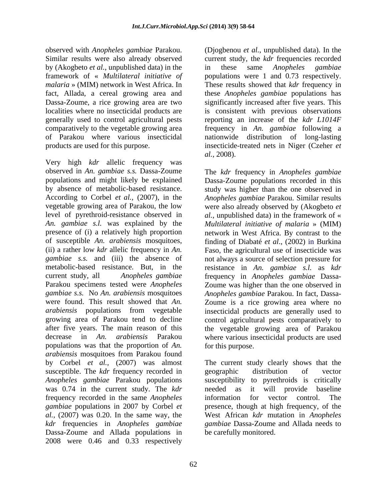observed with *Anopheles gambiae* Parakou. by (Akogbeto *et al.*, unpublished data) in the framework of « *Multilateral initiative of*

Very high *kdr* allelic frequency was populations was that the proportion of An. **For this purpose.** *arabiensis* mosquitoes from Parakou found by Corbel *et al.,* (2007) was almost susceptible. The *kdr* frequency recorded in geographic distribution of vector *Anopheles gambiae* Parakou populations was 0.74 in the current study. The *kdr* frequency recorded in the same *Anopheles kdr* frequencies in *Anopheles gambiae* Dassa-Zoume and Allada populations in 2008 were 0.46 and 0.33 respectively

Similar results were also already observed current study, the *kdr* frequencies recorded *malaria* » (MIM) network in West Africa. In These results showed that *kdr* frequency in fact, Allada, a cereal growing area and these *Anopheles gambiae* populations has Dassa-Zoume, a rice growing area are two significantly increased after five years. This localities where no insecticidal products are is consistent with previous observations generally used to control agricultural pests reporting an increase of the *kdr L1014F* comparatively to the vegetable growing area frequency in *An. gambiae* following a of Parakou where various insecticidal nationwide distribution of long-lasting products are used for this purpose. insecticide-treated nets in Niger (Czeher *et*  (Djogbenou *et al.*, unpublished data). In the in these same *Anopheles gambiae* populations were 1 and 0.73 respectively. *al.*, 2008).

observed in *An. gambiae s.s.* Dassa-Zoume The *kdr* frequency in *Anopheles gambiae* populations and might likely be explained Dassa-Zoume populations recorded in this by absence of metabolic-based resistance. <br>According to Corbel *et al.*, (2007), in the *Anopheles gambiae* Parakou. Similar results vegetable growing area of Parakou, the low were also already observed by (Akogbeto *et*  level of pyrethroid-resistance observed in *al.*, unpublished data) in the framework of « *An. gambiae s.l.* was explained by the *Multilateral initiative of malaria* » (MIM) presence of (i) a relatively high proportion network in West Africa. By contrast to the of susceptible *An. arabiensis* mosquitoes, finding of Diabaté *et al*., (2002) in Burkina (ii) a rather low *kdr* allelic frequency in *An.*  Faso, the agricultural use of insecticide was *gambiae s.s.* and (iii) the absence of not always a source of selection pressure for metabolic-based resistance. But, in the resistance in *An. gambiae s.l.* as *kdr*  current study, all *Anopheles gambiae* frequency in *Anopheles gambiae* Dassa- Parakou specimens tested were *Anopheles*  Zoume was higher than the one observed in *gambiae s.s.* No *An. arabiensis* mosquitoes *Anopheles gambiae* Parakou. In fact, Dassa were found. This result showed that *An.* Zoume is a rice growing area where no *arabiensis* populations from vegetable insecticidal products are generally used to growing area of Parakou tend to decline control agricultural pests comparatively to after five years. The main reason of this the vegetable growing area of Parakou decrease in *An. arabiensis* Parakou where various insecticidal products are used study was higher than the one observed in *Anopheles gambiae* Parakou. Similar results

*gambiae* populations in 2007 by Corbel *et*  presence, though at high frequency, of the *al.,* (2007) was 0.20. In the same way, the West African *kdr* mutation in *Anopheles*  for this purpose.<br>The current study clearly shows that the geographic distribution of vector susceptibility to pyrethroids is critically it will provide baseline information for vector control. The *gambiae* Dassa-Zoume and Allada needs to be carefully monitored.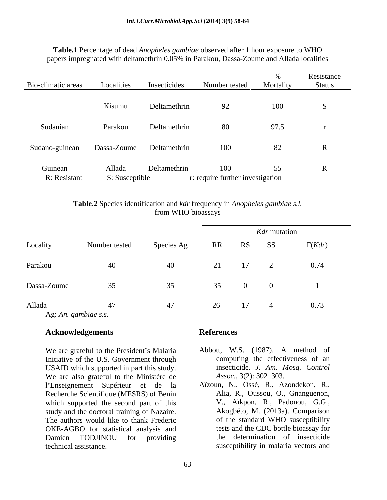|                         |                          |                          |                                         |           | Resistance   |
|-------------------------|--------------------------|--------------------------|-----------------------------------------|-----------|--------------|
| Bio-climatic areas      | Localities               | Insecticides             | Number tested                           | Mortality | Status       |
|                         | Kisumu                   | Deltamethrin             | 92                                      | 100       |              |
| Sudanian                | Parakou                  | Deltamethrin             | 80                                      | 97.5      |              |
| Sudano-guinean          |                          | Dassa-Zoume Deltamethrin | 100                                     | 82        | $\mathbf{R}$ |
| Guinean<br>R: Resistant | Allada<br>S: Susceptible | Deltamethrin             | 100<br>r: require further investigation | 55        |              |

## **Table.1** Percentage of dead *Anopheles gambiae* observed after 1 hour exposure to WHO papers impregnated with deltamethrin 0.05% in Parakou, Dassa-Zoume and Allada localities

**Table.2** Species identification and *kdr* frequency in *Anopheles gambiae s.l.* from WHO bioassays

|             |               |                            | <i>Kdr</i> mutation |    |                  |               |
|-------------|---------------|----------------------------|---------------------|----|------------------|---------------|
| Locality    | Number tested | Species Ag RR RS SS F(Kdr) |                     |    |                  |               |
| Parakou     | 40            | 40                         |                     | 17 |                  | 0.74          |
| Dassa-Zoume | 35            | 35                         | 35 0                |    | $\left( \right)$ |               |
| Allada      |               | 47                         |                     |    |                  | $4 \sim 0.73$ |

Ag: *An. gambiae s.s.*

## **Acknowledgements**

We are grateful to the President's Malaria Initiative of the U.S. Government through USAID which supported in part this study.<br>We are also grateful to the Ministère de Assoc., 3(2): 302–303. We are also grateful to the Ministère de l'Enseignement Supérieur et de la Recherche Scientifique (MESRS) of Benin which supported the second part of this study and the doctoral training of Nazaire. The authors would like to thank Frederic OKE-AGBO for statistical analysis and Damien TODJINOU for providing **Acknowledgements**<br>
We are grateful to the President's Malaria Abbott, W.S. (1987). A method of<br>
Initiative of the U.S. Government through computing the effectiveness of an<br>
USAID which supported in part this study. insect

- Abbott, W.S. (1987). A method of computing the effectiveness of an insecticide. *J. Am. Mosq. Control Assoc.*, 3(2): 302–303.
- Aïzoun, N., Ossè, R., Azondekon, R., Alia, R., Oussou, O., Gnanguenon, V., Aïkpon, R., Padonou, G.G., Akogbéto, M. (2013a). Comparison of the standard WHO susceptibility tests and the CDC bottle bioassay for the determination of insecticide susceptibility in malaria vectors and